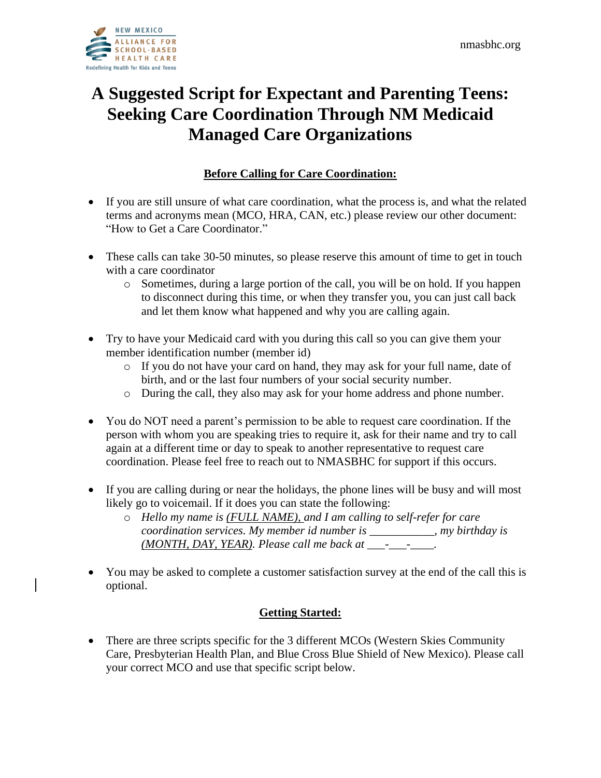# **A Suggested Script for Expectant and Parenting Teens: Seeking Care Coordination Through NM Medicaid Managed Care Organizations**

# **Before Calling for Care Coordination:**

- If you are still unsure of what care coordination, what the process is, and what the related terms and acronyms mean (MCO, HRA, CAN, etc.) please review our other document: "How to Get a Care Coordinator."
- These calls can take 30-50 minutes, so please reserve this amount of time to get in touch with a care coordinator
	- o Sometimes, during a large portion of the call, you will be on hold. If you happen to disconnect during this time, or when they transfer you, you can just call back and let them know what happened and why you are calling again.
- Try to have your Medicaid card with you during this call so you can give them your member identification number (member id)
	- o If you do not have your card on hand, they may ask for your full name, date of birth, and or the last four numbers of your social security number.
	- o During the call, they also may ask for your home address and phone number.
- You do NOT need a parent's permission to be able to request care coordination. If the person with whom you are speaking tries to require it, ask for their name and try to call again at a different time or day to speak to another representative to request care coordination. Please feel free to reach out to NMASBHC for support if this occurs.
- If you are calling during or near the holidays, the phone lines will be busy and will most likely go to voicemail. If it does you can state the following:
	- o *Hello my name is (FULL NAME), and I am calling to self-refer for care coordination services. My member id number is \_\_\_\_\_\_\_\_\_\_\_, my birthday is (MONTH, DAY, YEAR). Please call me back at \_\_\_-\_\_\_-\_\_\_\_.*
- You may be asked to complete a customer satisfaction survey at the end of the call this is optional.

# **Getting Started:**

• There are three scripts specific for the 3 different MCOs (Western Skies Community Care, Presbyterian Health Plan, and Blue Cross Blue Shield of New Mexico). Please call your correct MCO and use that specific script below.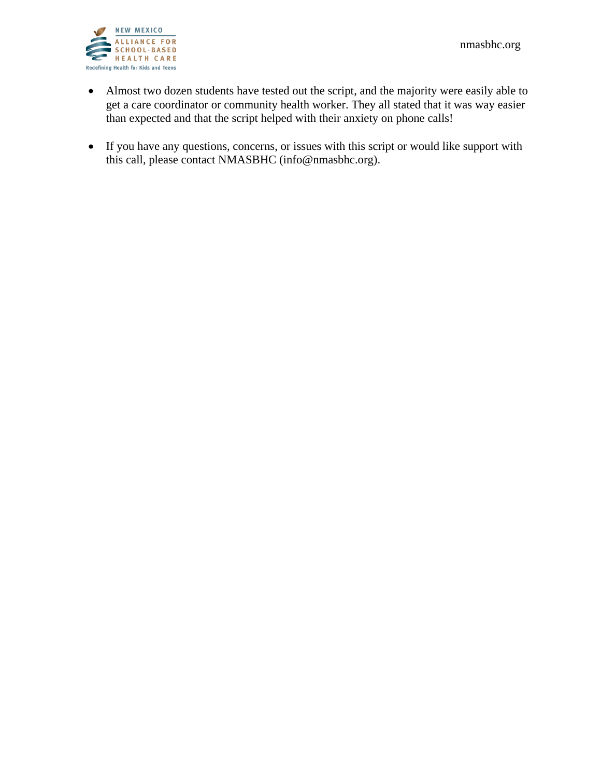

- Almost two dozen students have tested out the script, and the majority were easily able to get a care coordinator or community health worker. They all stated that it was way easier than expected and that the script helped with their anxiety on phone calls!
- If you have any questions, concerns, or issues with this script or would like support with this call, please contact NMASBHC (info@nmasbhc.org).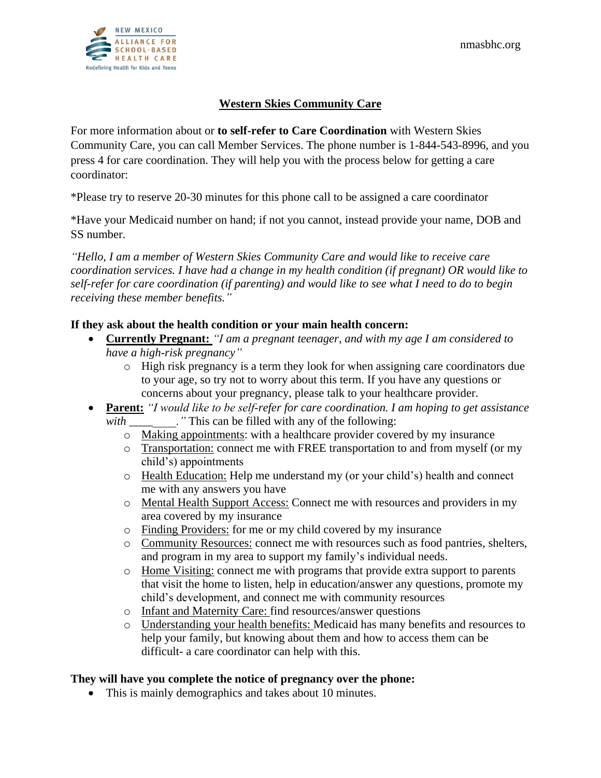

## **Western Skies Community Care**

For more information about or **to self-refer to Care Coordination** with Western Skies Community Care, you can call Member Services. The phone number is 1-844-543-8996, and you press 4 for care coordination. They will help you with the process below for getting a care coordinator:

\*Please try to reserve 20-30 minutes for this phone call to be assigned a care coordinator

\*Have your Medicaid number on hand; if not you cannot, instead provide your name, DOB and SS number.

*"Hello, I am a member of Western Skies Community Care and would like to receive care coordination services. I have had a change in my health condition (if pregnant) OR would like to self-refer for care coordination (if parenting) and would like to see what I need to do to begin receiving these member benefits."*

## **If they ask about the health condition or your main health concern:**

- **Currently Pregnant:** *"I am a pregnant teenager, and with my age I am considered to have a high-risk pregnancy"*
	- o High risk pregnancy is a term they look for when assigning care coordinators due to your age, so try not to worry about this term. If you have any questions or concerns about your pregnancy, please talk to your healthcare provider.
- **Parent:** *"I would like to be self-refer for care coordination. I am hoping to get assistance with*  $\ldots$  " This can be filled with any of the following:
	- o Making appointments: with a healthcare provider covered by my insurance
	- o Transportation: connect me with FREE transportation to and from myself (or my child's) appointments
	- o Health Education: Help me understand my (or your child's) health and connect me with any answers you have
	- o Mental Health Support Access: Connect me with resources and providers in my area covered by my insurance
	- o Finding Providers: for me or my child covered by my insurance
	- o Community Resources: connect me with resources such as food pantries, shelters, and program in my area to support my family's individual needs.
	- o Home Visiting: connect me with programs that provide extra support to parents that visit the home to listen, help in education/answer any questions, promote my child's development, and connect me with community resources
	- o Infant and Maternity Care: find resources/answer questions
	- o Understanding your health benefits: Medicaid has many benefits and resources to help your family, but knowing about them and how to access them can be difficult- a care coordinator can help with this.

#### **They will have you complete the notice of pregnancy over the phone:**

• This is mainly demographics and takes about 10 minutes.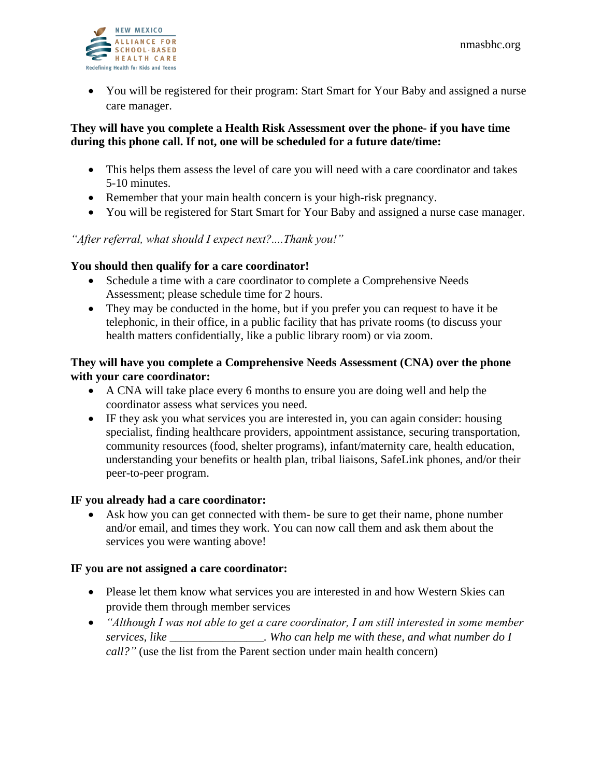

• You will be registered for their program: Start Smart for Your Baby and assigned a nurse care manager.

#### **They will have you complete a Health Risk Assessment over the phone- if you have time during this phone call. If not, one will be scheduled for a future date/time:**

- This helps them assess the level of care you will need with a care coordinator and takes 5-10 minutes.
- Remember that your main health concern is your high-risk pregnancy.
- You will be registered for Start Smart for Your Baby and assigned a nurse case manager.

## *"After referral, what should I expect next?....Thank you!"*

## **You should then qualify for a care coordinator!**

- Schedule a time with a care coordinator to complete a Comprehensive Needs Assessment; please schedule time for 2 hours.
- They may be conducted in the home, but if you prefer you can request to have it be telephonic, in their office, in a public facility that has private rooms (to discuss your health matters confidentially, like a public library room) or via zoom.

#### **They will have you complete a Comprehensive Needs Assessment (CNA) over the phone with your care coordinator:**

- A CNA will take place every 6 months to ensure you are doing well and help the coordinator assess what services you need.
- IF they ask you what services you are interested in, you can again consider: housing specialist, finding healthcare providers, appointment assistance, securing transportation, community resources (food, shelter programs), infant/maternity care, health education, understanding your benefits or health plan, tribal liaisons, SafeLink phones, and/or their peer-to-peer program.

#### **IF you already had a care coordinator:**

Ask how you can get connected with them- be sure to get their name, phone number and/or email, and times they work. You can now call them and ask them about the services you were wanting above!

#### **IF you are not assigned a care coordinator:**

- Please let them know what services you are interested in and how Western Skies can provide them through member services
- *"Although I was not able to get a care coordinator, I am still interested in some member services, like \_\_\_\_\_\_\_\_\_\_\_\_\_\_\_\_. Who can help me with these, and what number do I call?"* (use the list from the Parent section under main health concern)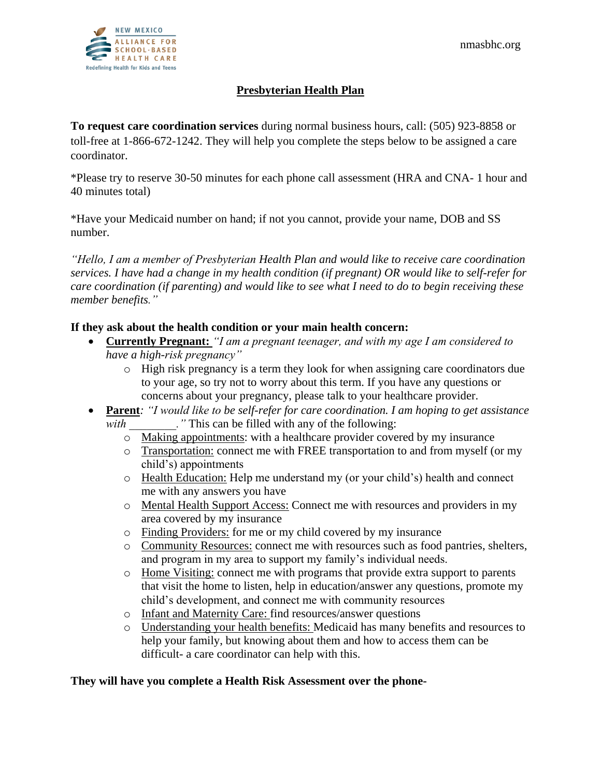

## **Presbyterian Health Plan**

**To request care coordination services** during normal business hours, call: (505) 923-8858 or toll-free at 1-866-672-1242. They will help you complete the steps below to be assigned a care coordinator.

\*Please try to reserve 30-50 minutes for each phone call assessment (HRA and CNA- 1 hour and 40 minutes total)

\*Have your Medicaid number on hand; if not you cannot, provide your name, DOB and SS number.

*"Hello, I am a member of Presbyterian Health Plan and would like to receive care coordination services. I have had a change in my health condition (if pregnant) OR would like to self-refer for care coordination (if parenting) and would like to see what I need to do to begin receiving these member benefits."*

## **If they ask about the health condition or your main health concern:**

- **Currently Pregnant:** *"I am a pregnant teenager, and with my age I am considered to have a high-risk pregnancy"*
	- o High risk pregnancy is a term they look for when assigning care coordinators due to your age, so try not to worry about this term. If you have any questions or concerns about your pregnancy, please talk to your healthcare provider.
- **Parent***: "I would like to be self-refer for care coordination. I am hoping to get assistance*  with  $\cdots$  " This can be filled with any of the following:
	- o Making appointments: with a healthcare provider covered by my insurance
	- o Transportation: connect me with FREE transportation to and from myself (or my child's) appointments
	- o Health Education: Help me understand my (or your child's) health and connect me with any answers you have
	- o Mental Health Support Access: Connect me with resources and providers in my area covered by my insurance
	- o Finding Providers: for me or my child covered by my insurance
	- o Community Resources: connect me with resources such as food pantries, shelters, and program in my area to support my family's individual needs.
	- o Home Visiting: connect me with programs that provide extra support to parents that visit the home to listen, help in education/answer any questions, promote my child's development, and connect me with community resources
	- o Infant and Maternity Care: find resources/answer questions
	- o Understanding your health benefits: Medicaid has many benefits and resources to help your family, but knowing about them and how to access them can be difficult- a care coordinator can help with this.

#### **They will have you complete a Health Risk Assessment over the phone-**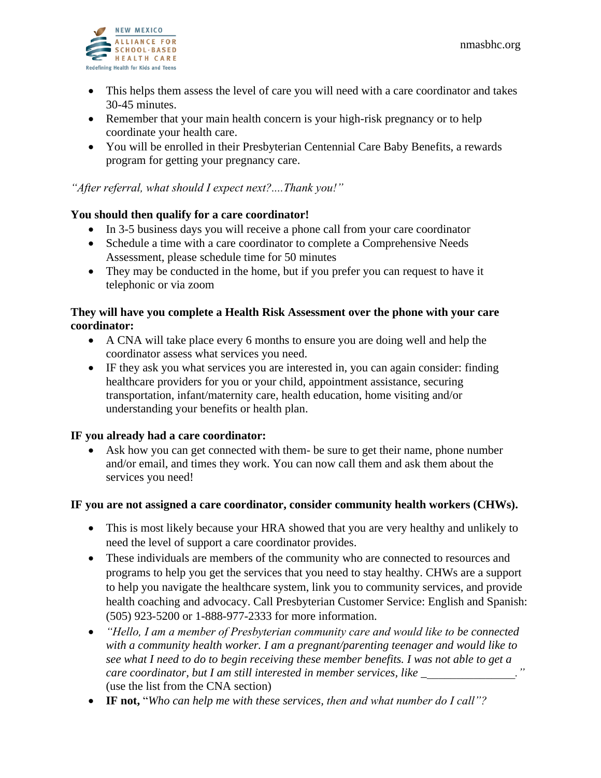

- This helps them assess the level of care you will need with a care coordinator and takes 30-45 minutes.
- Remember that your main health concern is your high-risk pregnancy or to help coordinate your health care.
- You will be enrolled in their Presbyterian Centennial Care Baby Benefits, a rewards program for getting your pregnancy care.

## *"After referral, what should I expect next?....Thank you!"*

#### **You should then qualify for a care coordinator!**

- In 3-5 business days you will receive a phone call from your care coordinator
- Schedule a time with a care coordinator to complete a Comprehensive Needs Assessment, please schedule time for 50 minutes
- They may be conducted in the home, but if you prefer you can request to have it telephonic or via zoom

## **They will have you complete a Health Risk Assessment over the phone with your care coordinator:**

- A CNA will take place every 6 months to ensure you are doing well and help the coordinator assess what services you need.
- IF they ask you what services you are interested in, you can again consider: finding healthcare providers for you or your child, appointment assistance, securing transportation, infant/maternity care, health education, home visiting and/or understanding your benefits or health plan.

#### **IF you already had a care coordinator:**

Ask how you can get connected with them- be sure to get their name, phone number and/or email, and times they work. You can now call them and ask them about the services you need!

#### **IF you are not assigned a care coordinator, consider community health workers (CHWs).**

- This is most likely because your HRA showed that you are very healthy and unlikely to need the level of support a care coordinator provides.
- These individuals are members of the community who are connected to resources and programs to help you get the services that you need to stay healthy. CHWs are a support to help you navigate the healthcare system, link you to community services, and provide health coaching and advocacy. Call Presbyterian Customer Service: English and Spanish: (505) 923-5200 or 1-888-977-2333 for more information.
- *"Hello, I am a member of Presbyterian community care and would like to be connected with a community health worker. I am a pregnant/parenting teenager and would like to see what I need to do to begin receiving these member benefits. I was not able to get a care coordinator, but I am still interested in member services, like* (use the list from the CNA section)
- **IF not,** "*Who can help me with these services, then and what number do I call"?*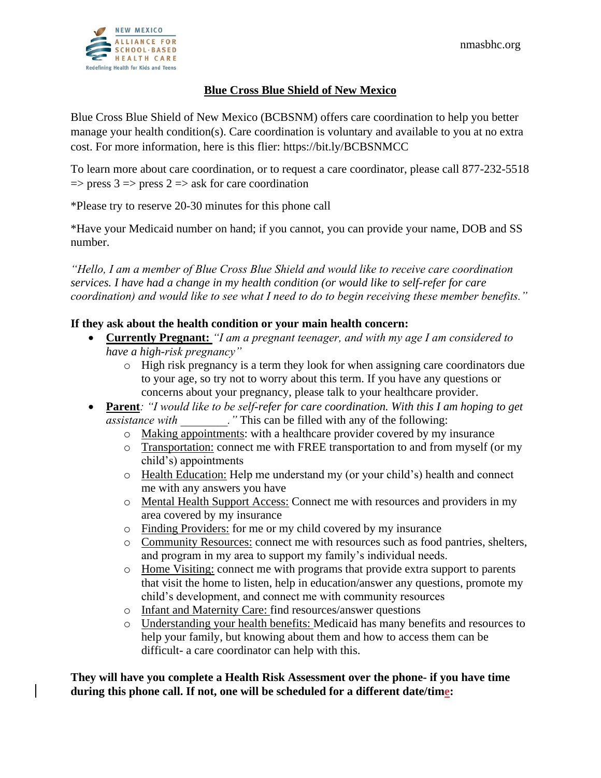## **Blue Cross Blue Shield of New Mexico**

Blue Cross Blue Shield of New Mexico (BCBSNM) offers care coordination to help you better manage your health condition(s). Care coordination is voluntary and available to you at no extra cost. For more information, here is this flier: https://bit.ly/BCBSNMCC

To learn more about care coordination, or to request a care coordinator, please call 877-232-5518  $\Rightarrow$  press 3  $\Rightarrow$  press 2  $\Rightarrow$  ask for care coordination

\*Please try to reserve 20-30 minutes for this phone call

\*Have your Medicaid number on hand; if you cannot, you can provide your name, DOB and SS number.

*"Hello, I am a member of Blue Cross Blue Shield and would like to receive care coordination services. I have had a change in my health condition (or would like to self-refer for care coordination) and would like to see what I need to do to begin receiving these member benefits."*

## **If they ask about the health condition or your main health concern:**

- **Currently Pregnant:** *"I am a pregnant teenager, and with my age I am considered to have a high-risk pregnancy"*
	- o High risk pregnancy is a term they look for when assigning care coordinators due to your age, so try not to worry about this term. If you have any questions or concerns about your pregnancy, please talk to your healthcare provider.
- **Parent***: "I would like to be self-refer for care coordination. With this I am hoping to get assistance with \_\_\_\_\_\_\_\_."* This can be filled with any of the following:
	- o Making appointments: with a healthcare provider covered by my insurance
	- o Transportation: connect me with FREE transportation to and from myself (or my child's) appointments
	- o Health Education: Help me understand my (or your child's) health and connect me with any answers you have
	- o Mental Health Support Access: Connect me with resources and providers in my area covered by my insurance
	- o Finding Providers: for me or my child covered by my insurance
	- o Community Resources: connect me with resources such as food pantries, shelters, and program in my area to support my family's individual needs.
	- o Home Visiting: connect me with programs that provide extra support to parents that visit the home to listen, help in education/answer any questions, promote my child's development, and connect me with community resources
	- o Infant and Maternity Care: find resources/answer questions
	- o Understanding your health benefits: Medicaid has many benefits and resources to help your family, but knowing about them and how to access them can be difficult- a care coordinator can help with this.

**They will have you complete a Health Risk Assessment over the phone- if you have time during this phone call. If not, one will be scheduled for a different date/time:**